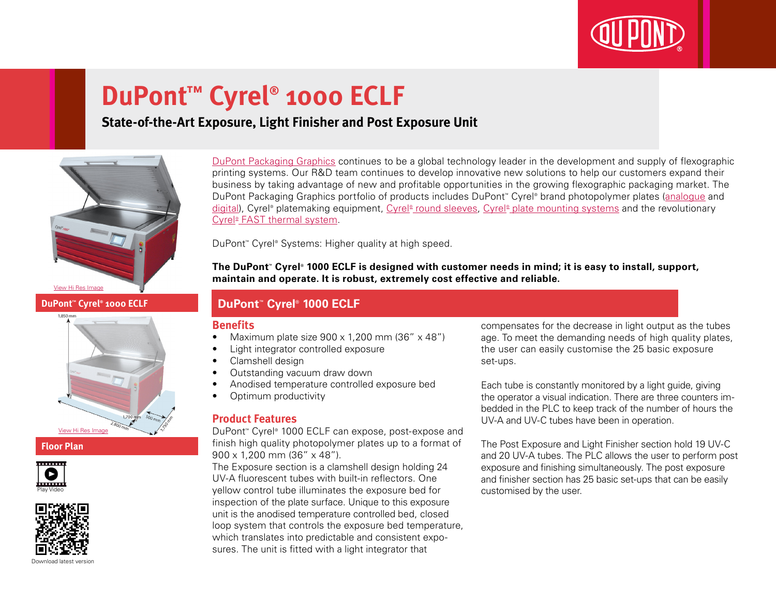

# **DuPont™ Cyrel® 1000 ECLF**

### **State-of-the-Art Exposure, Light Finisher and Post Exposure Unit**



## **DuPont™ Cyrel® 1000 ECLF**

# [View Hi Res Image](http://www2.dupont.com/Packaging_Graphics/en_GB/assets/images/photogallery/Cyrel_Fast_1000_ECLF_Floorplan_HIREZ.jpg)

#### **Floor Plan**





[DuPont Packaging Graphics](http://www2.dupont.com/Packaging_Graphics/en_GB/index.html) continues to be a global technology leader in the development and supply of flexographic printing systems. Our R&D team continues to develop innovative new solutions to help our customers expand their business by taking advantage of new and profitable opportunities in the growing flexographic packaging market. The DuPont Packaging Graphics portfolio of products includes DuPont™ Cyrel® brand photopolymer plates ([analogue](http://www2.dupont.com/Packaging_Graphics/en_GB/products/solvent_platemaking/index.html) and [digital\)](http://www2.dupont.com/Packaging_Graphics/en_GB/products/digital_wkflow/digital_workflow.html), Cyrel® platemaking equipment, Cyrel® [round sleeves](http://www2.dupont.com/Packaging_Graphics/en_GB/products/cyrel_round/index_cyrelround2.html), Cyrel® [plate mounting systems](http://www2.dupont.com/Packaging_Graphics/en_GB/products/mounting_systems/index.html) and the revolutionary Cyrel<sup>®</sup> [FAST thermal system.](http://www2.dupont.com/Packaging_Graphics/en_GB/products/cyrel_fast/cyrelfast_index.html)

DuPont™ Cyrel® Systems: Higher quality at high speed.

**The DuPont™ Cyrel® 1000 ECLF is designed with customer needs in mind; it is easy to install, support, maintain and operate. It is robust, extremely cost effective and reliable.**

#### **DuPont™ Cyrel® 1000 ECLF**

#### **Benefits**

- Maximum plate size  $900 \times 1,200$  mm (36"  $\times$  48")
- • Light integrator controlled exposure
- Clamshell design
- Outstanding vacuum draw down
- Anodised temperature controlled exposure bed
- Optimum productivity

#### **Product Features**

DuPont™ Cyrel® 1000 ECLF can expose, post-expose and finish high quality photopolymer plates up to a format of 900 x 1,200 mm (36" x 48").

The Exposure section is a clamshell design holding 24 UV-A fluorescent tubes with built-in reflectors. One yellow control tube illuminates the exposure bed for inspection of the plate surface. Unique to this exposure unit is the anodised temperature controlled bed, closed loop system that controls the exposure bed temperature, which translates into predictable and consistent exposures. The unit is fitted with a light integrator that

compensates for the decrease in light output as the tubes age. To meet the demanding needs of high quality plates, the user can easily customise the 25 basic exposure set-ups.

Each tube is constantly monitored by a light guide, giving the operator a visual indication. There are three counters imbedded in the PLC to keep track of the number of hours the UV-A and UV-C tubes have been in operation.

The Post Exposure and Light Finisher section hold 19 UV-C and 20 UV-A tubes. The PLC allows the user to perform post exposure and finishing simultaneously. The post exposure and finisher section has 25 basic set-ups that can be easily customised by the user.

Download latest versio